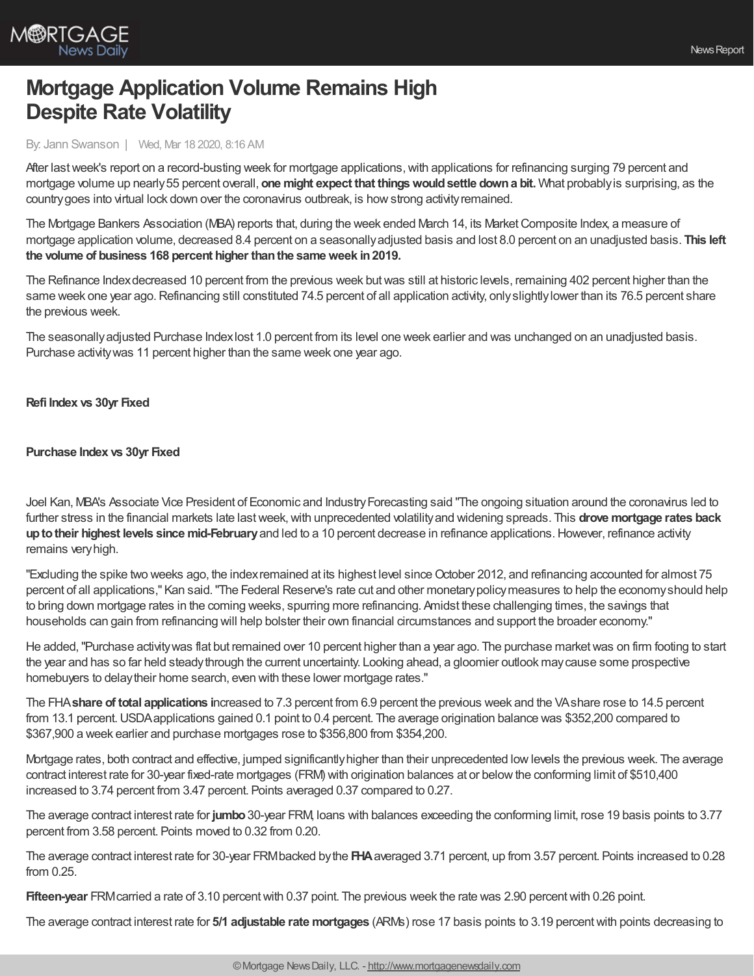

# **Mortgage Application Volume Remains High Despite Rate Volatility**

### By: Jann Swanson | Wed, Mar 18 2020, 8:16 AM

After last week's report on a record-busting week for mortgage applications, with applications for refinancing surging 79 percent and mortgage volume up nearly55 percent overall, **one might expect that thingswouldsettle downa bit.** What probablyis surprising, as the countrygoes into virtual lock down over the coronavirus outbreak, is howstrong activityremained.

The Mortgage Bankers Association (MBA) reports that, during the week ended March 14, its Market Composite Index, a measure of mortgage application volume, decreased 8.4 percent on a seasonallyadjusted basis and lost 8.0 percent on an unadjusted basis. **This left the volume of business 168 percent higher thanthe sameweek in2019.**

The Refinance Index decreased 10 percent from the previous week but was still at historic levels, remaining 402 percent higher than the same week one year ago. Refinancing still constituted 74.5 percent of all application activity, only slightly lower than its 76.5 percent share the previous week.

The seasonallyadjusted Purchase Indexlost 1.0 percent from its level one week earlier and was unchanged on an unadjusted basis. Purchase activitywas 11 percent higher than the same week one year ago.

### **Refi Index vs 30yr Fixed**

### **Purchase Index vs 30yr Fixed**

Joel Kan, MBA's Associate Vice President of Economic and IndustryForecasting said "The ongoing situation around the coronavirus led to further stress in the financial markets late lastweek,with unprecedented volatilityand widening spreads. This **drove mortgage rates back uptotheir highest levels since mid-February**and led to a 10 percent decrease in refinance applications.However, refinance activity remains veryhigh.

"Excluding the spike two weeks ago, the index remained at its highest level since October 2012, and refinancing accounted for almost 75 percent of all applications," Kan said."The Federal Reserve's rate cut and other monetarypolicymeasures to help the economyshould help to bring down mortgage rates in the coming weeks, spurring more refinancing. Amidst these challenging times, the savings that households can gain from refinancing will help bolster their own financial circumstances and support the broader economy."

He added,"Purchase activitywas flat but remained over 10 percent higher than a year ago. The purchase marketwas on firm footing to start the year and has so far held steadythrough the current uncertainty. Looking ahead, a gloomier outlook maycause some prospective homebuyers to delaytheir home search, even with these lower mortgage rates."

The FHA**share of total applications i**ncreased to 7.3 percent from 6.9 percent the previous week and the VAshare rose to 14.5 percent from 13.1 percent. USDA applications gained 0.1 point to 0.4 percent. The average origination balance was \$352,200 compared to \$367,900 a week earlier and purchase mortgages rose to \$356,800 from \$354,200.

Mortgage rates, both contract and effective, jumped significantlyhigher than their unprecedented lowlevels the previous week. The average contract interest rate for 30-year fixed-rate mortgages (FRM) with origination balances at or belowthe conforming limit of \$510,400 increased to 3.74 percent from 3.47 percent. Points averaged 0.37 compared to 0.27.

The average contract interest rate for **jumbo**30-year FRM, loans with balances exceeding the conforming limit, rose 19 basis points to 3.77 percent from 3.58 percent. Points moved to 0.32 from 0.20.

The average contract interest rate for 30-year FRMbacked bythe **FHA**averaged 3.71 percent, up from 3.57 percent. Points increased to 0.28 from 0.25.

**Fifteen-year** FRM carried a rate of 3.10 percent with 0.37 point. The previous week the rate was 2.90 percent with 0.26 point.

The average contract interest rate for **5/1 adjustable rate mortgages** (ARMs) rose 17 basis points to 3.19 percentwith points decreasing to